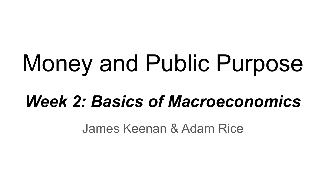# Money and Public Purpose

# *Week 2: Basics of Macroeconomics*

James Keenan & Adam Rice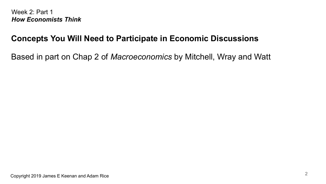#### **Concepts You Will Need to Participate in Economic Discussions**

Based in part on Chap 2 of *Macroeconomics* by Mitchell, Wray and Watt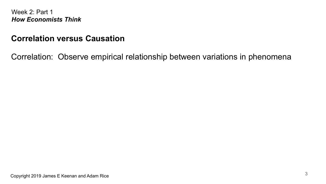#### **Correlation versus Causation**

Correlation: Observe empirical relationship between variations in phenomena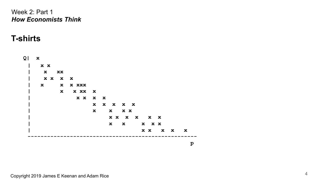#### **T-shirts**

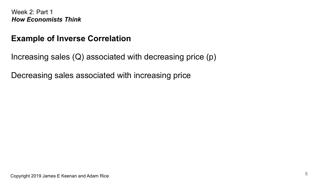#### **Example of Inverse Correlation**

Increasing sales (Q) associated with decreasing price (p)

Decreasing sales associated with increasing price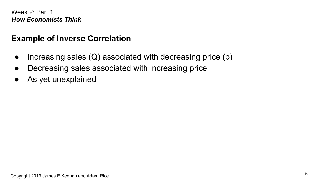#### **Example of Inverse Correlation**

- Increasing sales  $(Q)$  associated with decreasing price  $(p)$
- Decreasing sales associated with increasing price
- As yet unexplained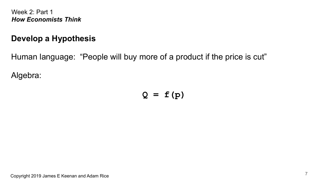#### **Develop a Hypothesis**

Human language: "People will buy more of a product if the price is cut"

Algebra:

**Q = f(p)**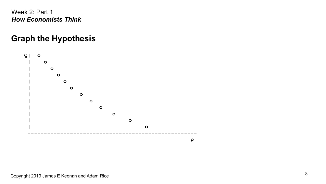# **Graph the Hypothesis**

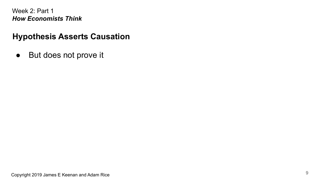#### **Hypothesis Asserts Causation**

● But does not prove it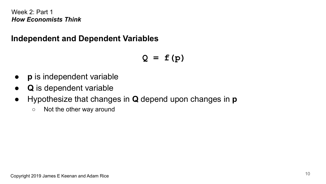#### **Independent and Dependent Variables**

**Q = f(p)**

- **p** is independent variable
- **Q** is dependent variable
- Hypothesize that changes in **Q** depend upon changes in **p**
	- Not the other way around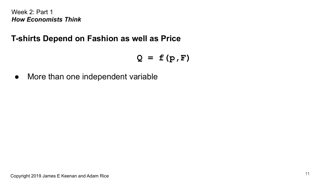#### **T-shirts Depend on Fashion as well as Price**

**Q = f(p,F)**

• More than one independent variable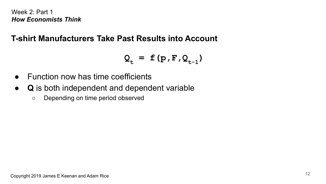#### **T-shirt Manufacturers Take Past Results into Account**

$$
Q_{t} = f(p, F, Q_{t-1})
$$

- Function now has time coefficients
- **Q** is both independent and dependent variable
	- Depending on time period observed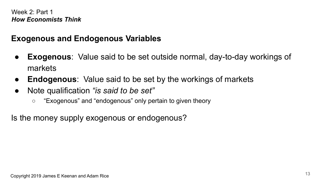#### **Exogenous and Endogenous Variables**

- **Exogenous**: Value said to be set outside normal, day-to-day workings of markets
- **Endogenous**: Value said to be set by the workings of markets
- Note qualification *"is said to be set"*
	- "Exogenous" and "endogenous" only pertain to given theory

Is the money supply exogenous or endogenous?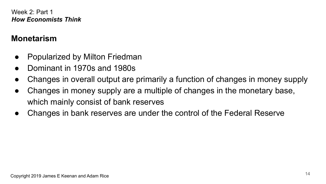#### **Monetarism**

- **Popularized by Milton Friedman**
- Dominant in 1970s and 1980s
- Changes in overall output are primarily a function of changes in money supply
- Changes in money supply are a multiple of changes in the monetary base, which mainly consist of bank reserves
- Changes in bank reserves are under the control of the Federal Reserve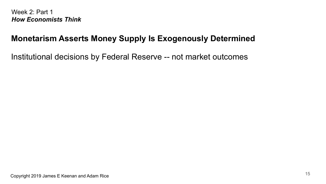#### **Monetarism Asserts Money Supply Is Exogenously Determined**

Institutional decisions by Federal Reserve -- not market outcomes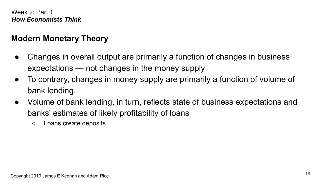# **Modern Monetary Theory**

- Changes in overall output are primarily a function of changes in business expectations — not changes in the money supply
- To contrary, changes in money supply are primarily a function of volume of bank lending.
- Volume of bank lending, in turn, reflects state of business expectations and banks' estimates of likely profitability of loans
	- Loans create deposits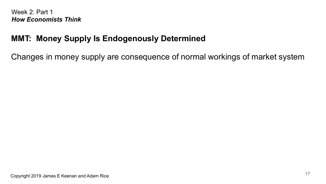# **MMT: Money Supply Is Endogenously Determined**

Changes in money supply are consequence of normal workings of market system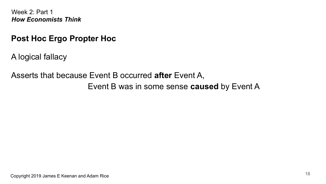#### **Post Hoc Ergo Propter Hoc**

A logical fallacy

Asserts that because Event B occurred **after** Event A,

Event B was in some sense **caused** by Event A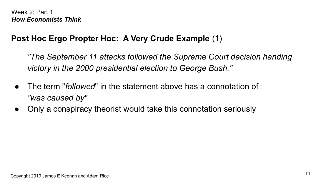# **Post Hoc Ergo Propter Hoc: A Very Crude Example** (1)

*"The September 11 attacks followed the Supreme Court decision handing victory in the 2000 presidential election to George Bush."*

- The term "*followed*" in the statement above has a connotation of *"was caused by"*
- Only a conspiracy theorist would take this connotation seriously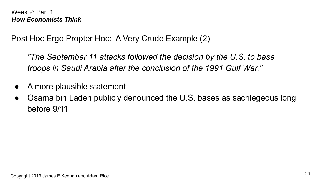Post Hoc Ergo Propter Hoc: A Very Crude Example (2)

*"The September 11 attacks followed the decision by the U.S. to base troops in Saudi Arabia after the conclusion of the 1991 Gulf War."*

- A more plausible statement
- Osama bin Laden publicly denounced the U.S. bases as sacrilegeous long before 9/11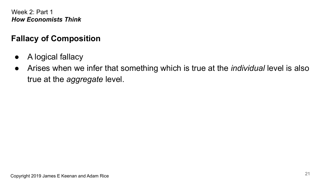# **Fallacy of Composition**

- A logical fallacy
- Arises when we infer that something which is true at the *individual* level is also true at the *aggregate* level.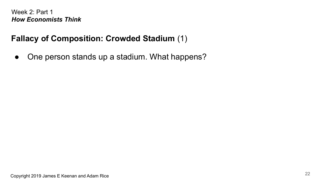# **Fallacy of Composition: Crowded Stadium** (1)

• One person stands up a stadium. What happens?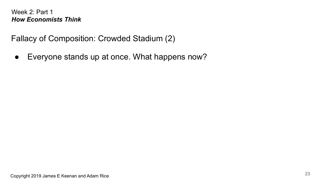Fallacy of Composition: Crowded Stadium (2)

● Everyone stands up at once. What happens now?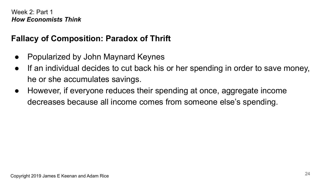# **Fallacy of Composition: Paradox of Thrift**

- Popularized by John Maynard Keynes
- If an individual decides to cut back his or her spending in order to save money, he or she accumulates savings.
- However, if everyone reduces their spending at once, aggregate income decreases because all income comes from someone else's spending.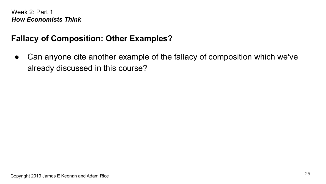#### **Fallacy of Composition: Other Examples?**

● Can anyone cite another example of the fallacy of composition which we've already discussed in this course?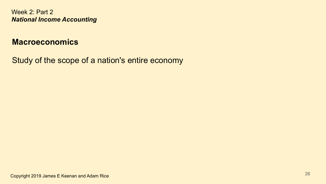#### **Macroeconomics**

Study of the scope of a nation's entire economy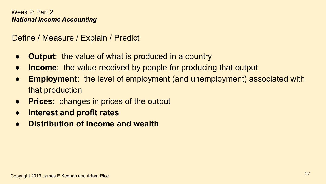Define / Measure / Explain / Predict

- **Output**: the value of what is produced in a country
- **Income**: the value received by people for producing that output
- **Employment**: the level of employment (and unemployment) associated with that production
- **Prices**: changes in prices of the output
- **● Interest and profit rates**
- **● Distribution of income and wealth**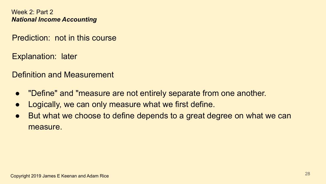Prediction: not in this course

Explanation: later

Definition and Measurement

- "Define" and "measure are not entirely separate from one another.
- Logically, we can only measure what we first define.
- But what we choose to define depends to a great degree on what we can measure.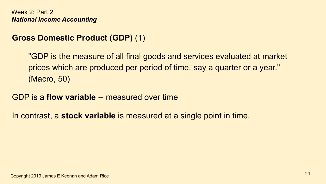# **Gross Domestic Product (GDP)** (1)

"GDP is the measure of all final goods and services evaluated at market prices which are produced per period of time, say a quarter or a year." (Macro, 50)

#### GDP is a **flow variable** -- measured over time

In contrast, a **stock variable** is measured at a single point in time.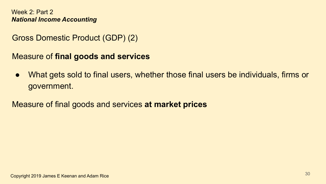Gross Domestic Product (GDP) (2)

Measure of **final goods and services**

● What gets sold to final users, whether those final users be individuals, firms or government.

Measure of final goods and services **at market prices**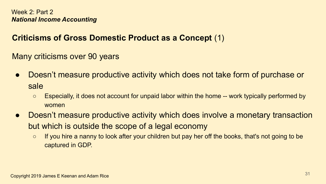# **Criticisms of Gross Domestic Product as a Concept** (1)

Many criticisms over 90 years

- Doesn't measure productive activity which does not take form of purchase or sale
	- Especially, it does not account for unpaid labor within the home -- work typically performed by women
- Doesn't measure productive activity which does involve a monetary transaction but which is outside the scope of a legal economy
	- If you hire a nanny to look after your children but pay her off the books, that's not going to be captured in GDP.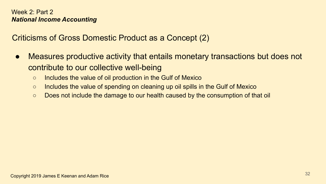Criticisms of Gross Domestic Product as a Concept (2)

- Measures productive activity that entails monetary transactions but does not contribute to our collective well-being
	- Includes the value of oil production in the Gulf of Mexico
	- Includes the value of spending on cleaning up oil spills in the Gulf of Mexico
	- Does not include the damage to our health caused by the consumption of that oil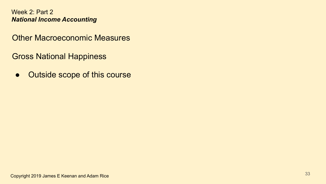Other Macroeconomic Measures

Gross National Happiness

• Outside scope of this course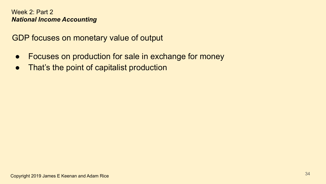GDP focuses on monetary value of output

- Focuses on production for sale in exchange for money
- That's the point of capitalist production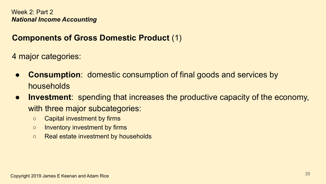#### **Components of Gross Domestic Product** (1)

4 major categories:

- **Consumption**: domestic consumption of final goods and services by households
- **Investment**: spending that increases the productive capacity of the economy, with three major subcategories:
	- Capital investment by firms
	- Inventory investment by firms
	- Real estate investment by households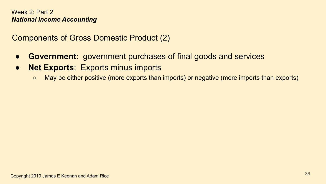Components of Gross Domestic Product (2)

- **Government**: government purchases of final goods and services
- **Net Exports**: Exports minus imports
	- May be either positive (more exports than imports) or negative (more imports than exports)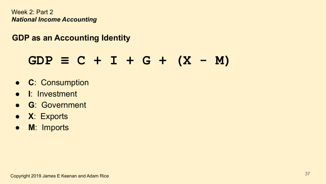### **GDP as an Accounting Identity**

# $GDP \equiv C + I + G + (X - M)$

- **C**: Consumption
- **I**: Investment
- **G**: Government
- **X**: Exports
- **M**: Imports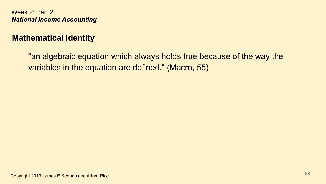### **Mathematical Identity**

"an algebraic equation which always holds true because of the way the variables in the equation are defined." (Macro, 55)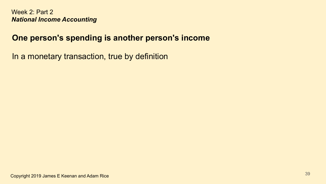#### **One person's spending is another person's income**

In a monetary transaction, true by definition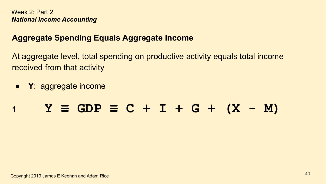### **Aggregate Spending Equals Aggregate Income**

At aggregate level, total spending on productive activity equals total income received from that activity

● **Y**: aggregate income

# **<sup>1</sup> Y ≡ GDP ≡ C + I + G + (X - M)**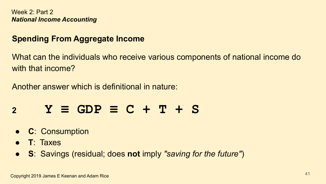### **Spending From Aggregate Income**

What can the individuals who receive various components of national income do with that income?

Another answer which is definitional in nature:

# **<sup>2</sup> Y ≡ GDP ≡ C + T + S**

- **C**: Consumption
- **T**: Taxes
- **S**: Savings (residual; does **not** imply *"saving for the future"*)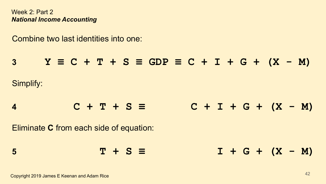Combine two last identities into one:

**3 Y ≡ C + T + S ≡ GDP ≡ C + I + G + (X - M)** Simplify: **<sup>4</sup> C + T + S ≡ C + I + G + (X - M)** Eliminate **C** from each side of equation: **<sup>5</sup> T + S ≡ I + G + (X - M)**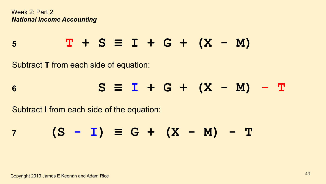$$
5 \t\t T + S \equiv I + G + (X - M)
$$

Subtract **T** from each side of equation:

# **<sup>6</sup> S ≡ I + G + (X - M) - T**

Subtract **I** from each side of the equation:

$$
7 \t(S - I) \equiv G + (X - M) - T
$$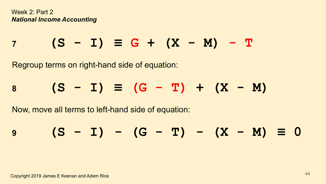$$
7 \t(S - I) \equiv G + (X - M) - T
$$

Regroup terms on right-hand side of equation:

$$
8 \t(S - I) \equiv (G - T) + (X - M)
$$

Now, move all terms to left-hand side of equation:

$$
9 \t(S - I) - (G - T) - (X - M) \equiv 0
$$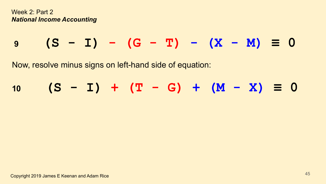**<sup>9</sup> (S - I) - (G - T) - (X - M) ≡ 0**

Now, resolve minus signs on left-hand side of equation:

$$
10 \t(S - I) + (T - G) + (M - X) \equiv 0
$$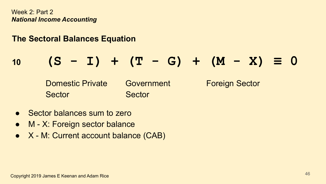### **The Sectoral Balances Equation**

# **<sup>10</sup> (S - I) + (T - G) + (M - X) ≡ 0**

Domestic Private Government Foreign Sector Sector Sector

- **Sector balances sum to zero**
- M X: Foreign sector balance
- X M: Current account balance (CAB)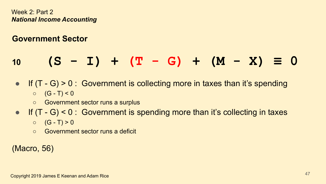### **Government Sector**

# **<sup>10</sup> (S - I) + (T - G) + (M - X) ≡ 0**

- **•** If  $(T G) > 0$ : Government is collecting more in taxes than it's spending  $O$   $(G - T) < 0$ 
	- Government sector runs a surplus
- **•** If  $(T G) < 0$ : Government is spending more than it's collecting in taxes
	- $O$   $(G T) > 0$
	- Government sector runs a deficit

### (Macro, 56)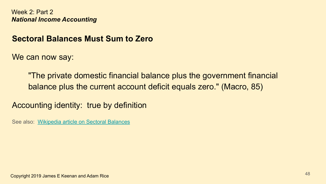#### **Sectoral Balances Must Sum to Zero**

We can now say:

"The private domestic financial balance plus the government financial balance plus the current account deficit equals zero." (Macro, 85)

Accounting identity: true by definition

See also: [Wikipedia article on Sectoral Balances](https://en.wikipedia.org/wiki/Sectoral_balances)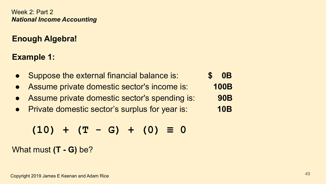### **Enough Algebra!**

### **Example 1:**

- Suppose the external financial balance is: **\$ 0B**
- Assume private domestic sector's income is: **100B**
- Assume private domestic sector's spending is: **90B**
- Private domestic sector's surplus for year is: **10B**

$$
(10) + (T - G) + (0) \equiv 0
$$

What must **(T - G)** be?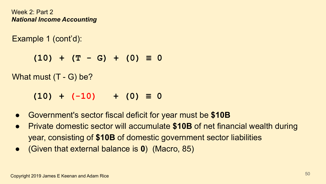Example 1 (cont'd):

 **(10) + (T - G) + (0) ≡ 0**

What must (T - G) be?

 $(10) + (-10) + (0) \equiv 0$ 

- Government's sector fiscal deficit for year must be **\$10B**
- Private domestic sector will accumulate **\$10B** of net financial wealth during year, consisting of **\$10B** of domestic government sector liabilities
- (Given that external balance is **0**) (Macro, 85)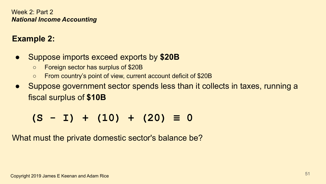## **Example 2:**

- Suppose imports exceed exports by **\$20B**
	- Foreign sector has surplus of \$20B
	- From country's point of view, current account deficit of \$20B
- Suppose government sector spends less than it collects in taxes, running a fiscal surplus of **\$10B**

 **(S - I) + (10) + (20) ≡ 0**

What must the private domestic sector's balance be?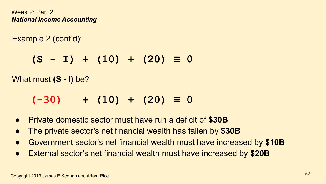Example 2 (cont'd):

 **(S - I) + (10) + (20) ≡ 0**

What must **(S - I)** be?

# **(-30) + (10) + (20) ≡ 0**

- Private domestic sector must have run a deficit of **\$30B**
- The private sector's net financial wealth has fallen by **\$30B**
- Government sector's net financial wealth must have increased by **\$10B**
- External sector's net financial wealth must have increased by **\$20B**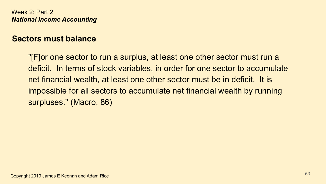#### **Sectors must balance**

"[F]or one sector to run a surplus, at least one other sector must run a deficit. In terms of stock variables, in order for one sector to accumulate net financial wealth, at least one other sector must be in deficit. It is impossible for all sectors to accumulate net financial wealth by running surpluses." (Macro, 86)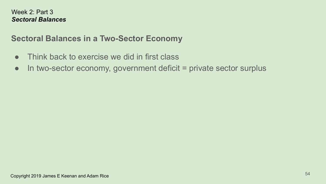### **Sectoral Balances in a Two-Sector Economy**

- Think back to exercise we did in first class
- In two-sector economy, government deficit = private sector surplus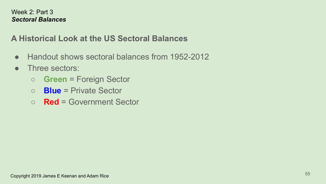### **A Historical Look at the US Sectoral Balances**

- Handout shows sectoral balances from 1952-2012
- Three sectors:
	- **Green** = Foreign Sector
	- **Blue** = Private Sector
	- **Red** = Government Sector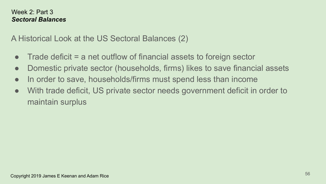A Historical Look at the US Sectoral Balances (2)

- $\bullet$  Trade deficit = a net outflow of financial assets to foreign sector
- Domestic private sector (households, firms) likes to save financial assets
- In order to save, households/firms must spend less than income
- With trade deficit, US private sector needs government deficit in order to maintain surplus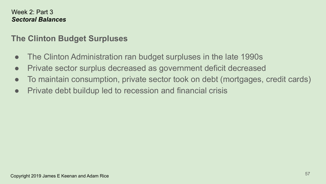### **The Clinton Budget Surpluses**

- The Clinton Administration ran budget surpluses in the late 1990s
- Private sector surplus decreased as government deficit decreased
- To maintain consumption, private sector took on debt (mortgages, credit cards)
- Private debt buildup led to recession and financial crisis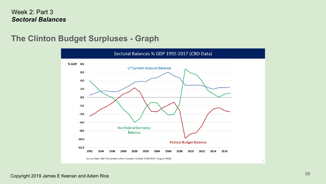#### **The Clinton Budget Surpluses - Graph**

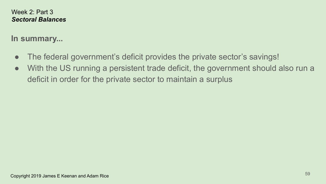#### **In summary...**

- The federal government's deficit provides the private sector's savings!
- With the US running a persistent trade deficit, the government should also run a deficit in order for the private sector to maintain a surplus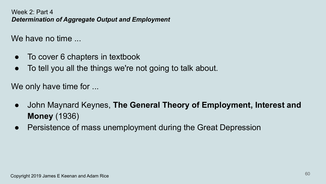We have no time

- To cover 6 chapters in textbook
- To tell you all the things we're not going to talk about.

We only have time for ...

- John Maynard Keynes, **The General Theory of Employment, Interest and Money** (1936)
- Persistence of mass unemployment during the Great Depression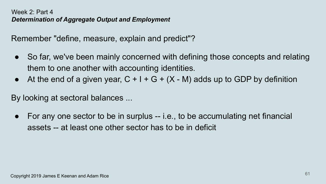Remember "define, measure, explain and predict"?

- So far, we've been mainly concerned with defining those concepts and relating them to one another with accounting identities.
- At the end of a given year,  $C + I + G + (X M)$  adds up to GDP by definition

By looking at sectoral balances ...

● For any one sector to be in surplus -- i.e., to be accumulating net financial assets -- at least one other sector has to be in deficit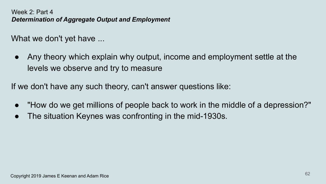What we don't yet have ...

Any theory which explain why output, income and employment settle at the levels we observe and try to measure

If we don't have any such theory, can't answer questions like:

- "How do we get millions of people back to work in the middle of a depression?"
- The situation Keynes was confronting in the mid-1930s.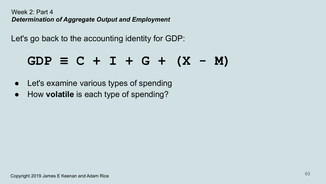Let's go back to the accounting identity for GDP:

# $GDP \equiv C + I + G + (X - M)$

- Let's examine various types of spending
- How **volatile** is each type of spending?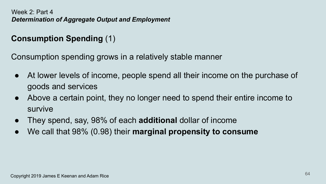### **Consumption Spending** (1)

Consumption spending grows in a relatively stable manner

- At lower levels of income, people spend all their income on the purchase of goods and services
- Above a certain point, they no longer need to spend their entire income to survive
- They spend, say, 98% of each **additional** dollar of income
- We call that 98% (0.98) their **marginal propensity to consume**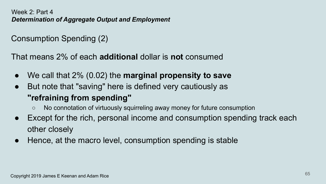### Consumption Spending (2)

That means 2% of each **additional** dollar is **not** consumed

- We call that 2% (0.02) the **marginal propensity to save**
- But note that "saving" here is defined very cautiously as **"refraining from spending"**
	- No connotation of virtuously squirreling away money for future consumption
- Except for the rich, personal income and consumption spending track each other closely
- Hence, at the macro level, consumption spending is stable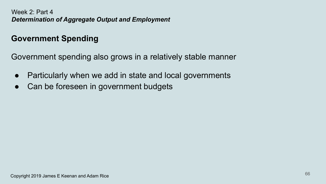### **Government Spending**

Government spending also grows in a relatively stable manner

- Particularly when we add in state and local governments
- Can be foreseen in government budgets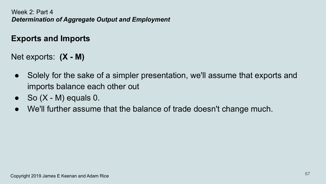#### **Exports and Imports**

Net exports: **(X - M)**

- Solely for the sake of a simpler presentation, we'll assume that exports and imports balance each other out
- $\bullet$  So  $(X M)$  equals 0.
- We'll further assume that the balance of trade doesn't change much.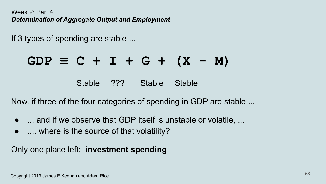If 3 types of spending are stable ...

# $GDP \equiv C + I + G + (X - M)$

Stable ??? Stable Stable

Now, if three of the four categories of spending in GDP are stable ...

- ... and if we observe that GDP itself is unstable or volatile, ...
- .... where is the source of that volatility?

Only one place left: **investment spending**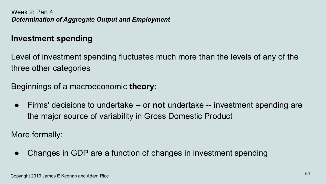#### **Investment spending**

Level of investment spending fluctuates much more than the levels of any of the three other categories

Beginnings of a macroeconomic **theory**:

● Firms' decisions to undertake -- or **not** undertake -- investment spending are the major source of variability in Gross Domestic Product

More formally:

• Changes in GDP are a function of changes in investment spending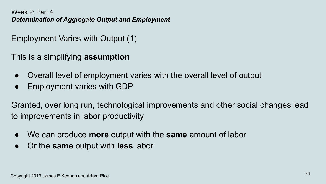Employment Varies with Output (1)

This is a simplifying **assumption**

- Overall level of employment varies with the overall level of output
- Employment varies with GDP

Granted, over long run, technological improvements and other social changes lead to improvements in labor productivity

- We can produce **more** output with the **same** amount of labor
- Or the **same** output with **less** labor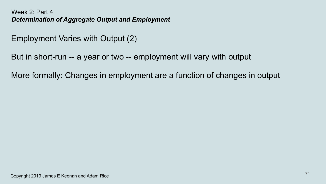Employment Varies with Output (2)

But in short-run -- a year or two -- employment will vary with output

More formally: Changes in employment are a function of changes in output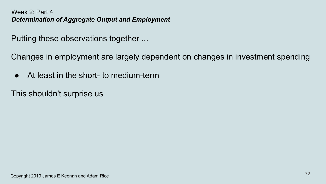Putting these observations together ...

Changes in employment are largely dependent on changes in investment spending

● At least in the short- to medium-term

This shouldn't surprise us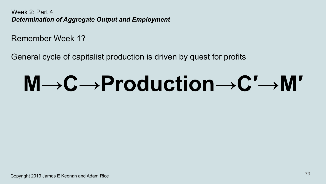Remember Week 1?

General cycle of capitalist production is driven by quest for profits

# **M→C→Production→C′→M′**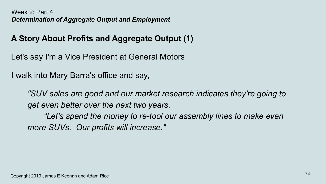# **A Story About Profits and Aggregate Output (1)**

Let's say I'm a Vice President at General Motors

I walk into Mary Barra's office and say,

*"SUV sales are good and our market research indicates they're going to get even better over the next two years.*

*"Let's spend the money to re-tool our assembly lines to make even more SUVs. Our profits will increase."*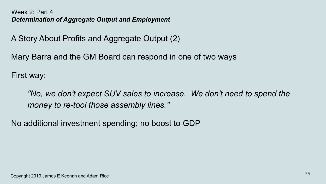A Story About Profits and Aggregate Output (2)

Mary Barra and the GM Board can respond in one of two ways

First way:

*"No, we don't expect SUV sales to increase. We don't need to spend the money to re-tool those assembly lines."*

No additional investment spending; no boost to GDP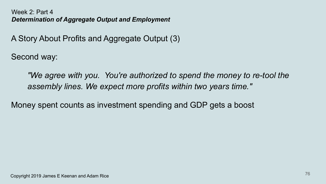A Story About Profits and Aggregate Output (3)

Second way:

*"We agree with you. You're authorized to spend the money to re-tool the assembly lines. We expect more profits within two years time."*

Money spent counts as investment spending and GDP gets a boost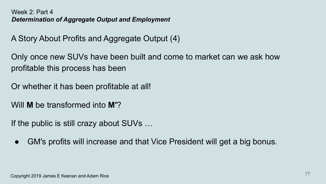A Story About Profits and Aggregate Output (4)

Only once new SUVs have been built and come to market can we ask how profitable this process has been

Or whether it has been profitable at all!

Will **M** be transformed into **M′**?

If the public is still crazy about SUVs …

• GM's profits will increase and that Vice President will get a big bonus.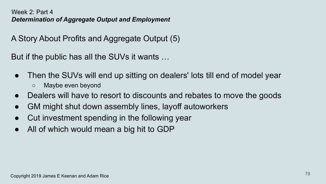A Story About Profits and Aggregate Output (5)

But if the public has all the SUVs it wants …

- Then the SUVs will end up sitting on dealers' lots till end of model year
	- Maybe even beyond
- Dealers will have to resort to discounts and rebates to move the goods
- GM might shut down assembly lines, layoff autoworkers
- Cut investment spending in the following year
- All of which would mean a big hit to GDP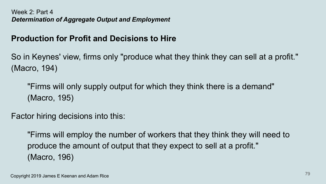# **Production for Profit and Decisions to Hire**

So in Keynes' view, firms only "produce what they think they can sell at a profit." (Macro, 194)

"Firms will only supply output for which they think there is a demand" (Macro, 195)

Factor hiring decisions into this:

"Firms will employ the number of workers that they think they will need to produce the amount of output that they expect to sell at a profit." (Macro, 196)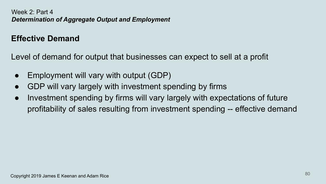# **Effective Demand**

Level of demand for output that businesses can expect to sell at a profit

- Employment will vary with output (GDP)
- GDP will vary largely with investment spending by firms
- Investment spending by firms will vary largely with expectations of future profitability of sales resulting from investment spending -- effective demand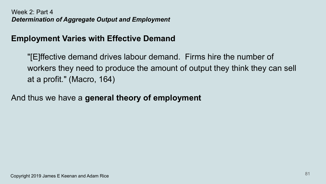## **Employment Varies with Effective Demand**

"[E]ffective demand drives labour demand. Firms hire the number of workers they need to produce the amount of output they think they can sell at a profit." (Macro, 164)

And thus we have a **general theory of employment**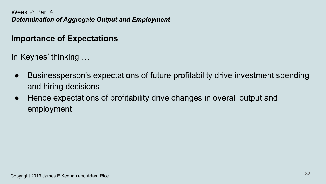## **Importance of Expectations**

In Keynes' thinking …

- Businessperson's expectations of future profitability drive investment spending and hiring decisions
- Hence expectations of profitability drive changes in overall output and employment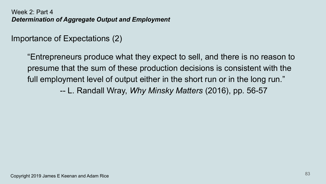## Importance of Expectations (2)

"Entrepreneurs produce what they expect to sell, and there is no reason to presume that the sum of these production decisions is consistent with the full employment level of output either in the short run or in the long run."

-- L. Randall Wray, *Why Minsky Matters* (2016), pp. 56-57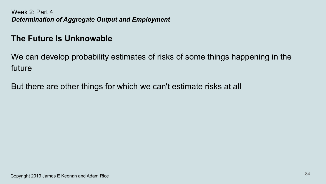## **The Future Is Unknowable**

We can develop probability estimates of risks of some things happening in the future

But there are other things for which we can't estimate risks at all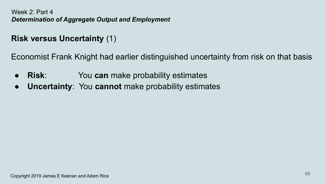# **Risk versus Uncertainty** (1)

Economist Frank Knight had earlier distinguished uncertainty from risk on that basis

- **Risk**: You **can** make probability estimates
- **Uncertainty**: You **cannot** make probability estimates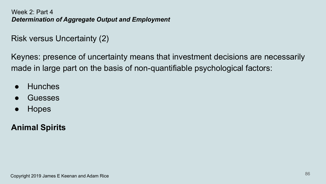# Risk versus Uncertainty (2)

Keynes: presence of uncertainty means that investment decisions are necessarily made in large part on the basis of non-quantifiable psychological factors:

- Hunches
- **Guesses**
- **Hopes**

# **Animal Spirits**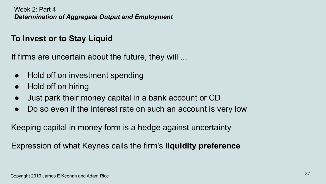# **To Invest or to Stay Liquid**

If firms are uncertain about the future, they will ...

- Hold off on investment spending
- Hold off on hiring
- Just park their money capital in a bank account or CD
- Do so even if the interest rate on such an account is very low

Keeping capital in money form is a hedge against uncertainty

Expression of what Keynes calls the firm's **liquidity preference**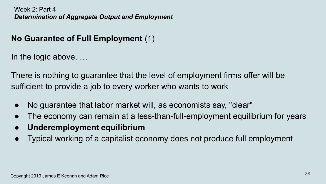# **No Guarantee of Full Employment** (1)

In the logic above, …

There is nothing to guarantee that the level of employment firms offer will be sufficient to provide a job to every worker who wants to work

- No guarantee that labor market will, as economists say, "clear"
- The economy can remain at a less-than-full-employment equilibrium for years
- **● Underemployment equilibrium**
- Typical working of a capitalist economy does not produce full employment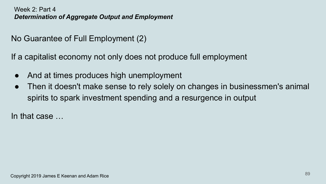No Guarantee of Full Employment (2)

If a capitalist economy not only does not produce full employment

- And at times produces high unemployment
- Then it doesn't make sense to rely solely on changes in businessmen's animal spirits to spark investment spending and a resurgence in output

In that case …